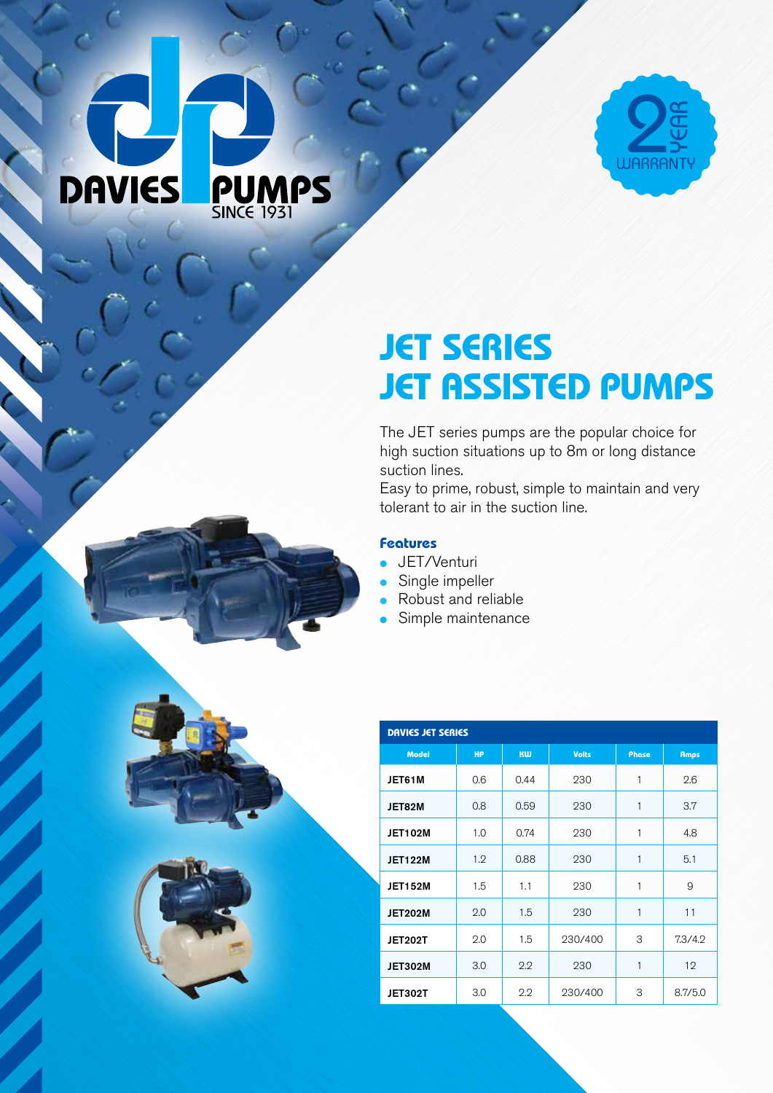# **PUMPS DAVIES**



## **JET SERIES JET ASSISTED PUMPS**

The JET series pumps are the popular choice for high suction situations up to 8m or long distance suction lines.

Easy to prime, robust, simple to maintain and very tolerant to air in the suction line.

### **Features**

- JET/Venturi
- Single impeller
- Robust and reliable
- Simple maintenance

| DAVIES JET SERIES |           |      |              |       |             |
|-------------------|-----------|------|--------------|-------|-------------|
| <b>Model</b>      | <b>HP</b> | KW   | <b>Volts</b> | Phase | <b>Amps</b> |
| JET61M            | 0.6       | 0.44 | 230          | 1     | 2.6         |
| JET82M            | 0.8       | 0.59 | 230          | 1     | 3.7         |
| <b>JET102M</b>    | 1.0       | 0.74 | 230          | 1     | 4.8         |
| <b>JET122M</b>    | 1.2       | 0.88 | 230          | 1     | 5.1         |
| <b>JET152M</b>    | 1.5       | 1.1  | 230          | 1     | 9           |
| <b>JET202M</b>    | 2.0       | 1.5  | 230          | 1     | 11          |
| <b>JET202T</b>    | 2.0       | 1.5  | 230/400      | 3     | 7.3/4.2     |
| <b>JET302M</b>    | 3.0       | 2.2  | 230          | 1     | 12          |
| JET302T           | 3.0       | 2.2  | 230/400      | 3     | 8.7/5.0     |